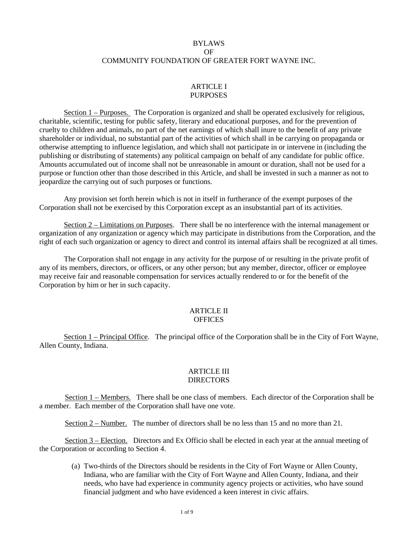# BYLAWS OF COMMUNITY FOUNDATION OF GREATER FORT WAYNE INC.

### ARTICLE I PURPOSES

Section 1 – Purposes. The Corporation is organized and shall be operated exclusively for religious, charitable, scientific, testing for public safety, literary and educational purposes, and for the prevention of cruelty to children and animals, no part of the net earnings of which shall inure to the benefit of any private shareholder or individual, no substantial part of the activities of which shall in be carrying on propaganda or otherwise attempting to influence legislation, and which shall not participate in or intervene in (including the publishing or distributing of statements) any political campaign on behalf of any candidate for public office. Amounts accumulated out of income shall not be unreasonable in amount or duration, shall not be used for a purpose or function other than those described in this Article, and shall be invested in such a manner as not to jeopardize the carrying out of such purposes or functions.

Any provision set forth herein which is not in itself in furtherance of the exempt purposes of the Corporation shall not be exercised by this Corporation except as an insubstantial part of its activities.

Section 2 – Limitations on Purposes. There shall be no interference with the internal management or organization of any organization or agency which may participate in distributions from the Corporation, and the right of each such organization or agency to direct and control its internal affairs shall be recognized at all times.

The Corporation shall not engage in any activity for the purpose of or resulting in the private profit of any of its members, directors, or officers, or any other person; but any member, director, officer or employee may receive fair and reasonable compensation for services actually rendered to or for the benefit of the Corporation by him or her in such capacity.

#### ARTICLE II **OFFICES**

Section 1 – Principal Office. The principal office of the Corporation shall be in the City of Fort Wayne, Allen County, Indiana.

### ARTICLE III **DIRECTORS**

Section 1 – Members. There shall be one class of members. Each director of the Corporation shall be a member. Each member of the Corporation shall have one vote.

Section 2 – Number. The number of directors shall be no less than 15 and no more than 21.

Section 3 – Election. Directors and Ex Officio shall be elected in each year at the annual meeting of the Corporation or according to Section 4.

(a) Two-thirds of the Directors should be residents in the City of Fort Wayne or Allen County, Indiana, who are familiar with the City of Fort Wayne and Allen County, Indiana, and their needs, who have had experience in community agency projects or activities, who have sound financial judgment and who have evidenced a keen interest in civic affairs.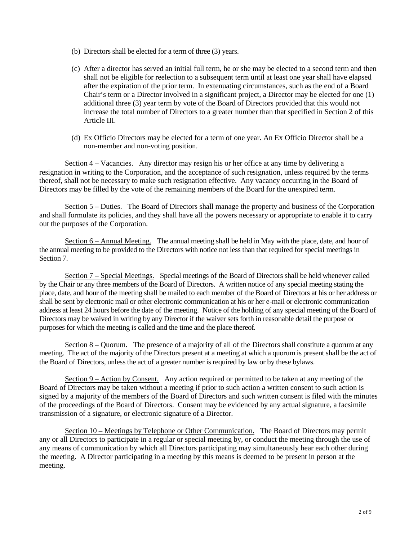- (b) Directors shall be elected for a term of three (3) years.
- (c) After a director has served an initial full term, he or she may be elected to a second term and then shall not be eligible for reelection to a subsequent term until at least one year shall have elapsed after the expiration of the prior term. In extenuating circumstances, such as the end of a Board Chair's term or a Director involved in a significant project, a Director may be elected for one (1) additional three (3) year term by vote of the Board of Directors provided that this would not increase the total number of Directors to a greater number than that specified in Section 2 of this Article III.
- (d) Ex Officio Directors may be elected for a term of one year. An Ex Officio Director shall be a non-member and non-voting position.

Section 4 – Vacancies. Any director may resign his or her office at any time by delivering a resignation in writing to the Corporation, and the acceptance of such resignation, unless required by the terms thereof, shall not be necessary to make such resignation effective. Any vacancy occurring in the Board of Directors may be filled by the vote of the remaining members of the Board for the unexpired term.

Section 5 – Duties. The Board of Directors shall manage the property and business of the Corporation and shall formulate its policies, and they shall have all the powers necessary or appropriate to enable it to carry out the purposes of the Corporation.

Section 6 – Annual Meeting. The annual meeting shall be held in May with the place, date, and hour of the annual meeting to be provided to the Directors with notice not less than that required for special meetings in Section 7.

Section 7 – Special Meetings. Special meetings of the Board of Directors shall be held whenever called by the Chair or any three members of the Board of Directors. A written notice of any special meeting stating the place, date, and hour of the meeting shall be mailed to each member of the Board of Directors at his or her address or shall be sent by electronic mail or other electronic communication at his or her e-mail or electronic communication address at least 24 hours before the date of the meeting. Notice of the holding of any special meeting of the Board of Directors may be waived in writing by any Director if the waiver sets forth in reasonable detail the purpose or purposes for which the meeting is called and the time and the place thereof*.*

Section 8 – Quorum. The presence of a majority of all of the Directors shall constitute a quorum at any meeting. The act of the majority of the Directors present at a meeting at which a quorum is present shall be the act of the Board of Directors, unless the act of a greater number is required by law or by these bylaws.

Section 9 – Action by Consent. Any action required or permitted to be taken at any meeting of the Board of Directors may be taken without a meeting if prior to such action a written consent to such action is signed by a majority of the members of the Board of Directors and such written consent is filed with the minutes of the proceedings of the Board of Directors. Consent may be evidenced by any actual signature, a facsimile transmission of a signature, or electronic signature of a Director.

Section 10 – Meetings by Telephone or Other Communication. The Board of Directors may permit any or all Directors to participate in a regular or special meeting by, or conduct the meeting through the use of any means of communication by which all Directors participating may simultaneously hear each other during the meeting. A Director participating in a meeting by this means is deemed to be present in person at the meeting.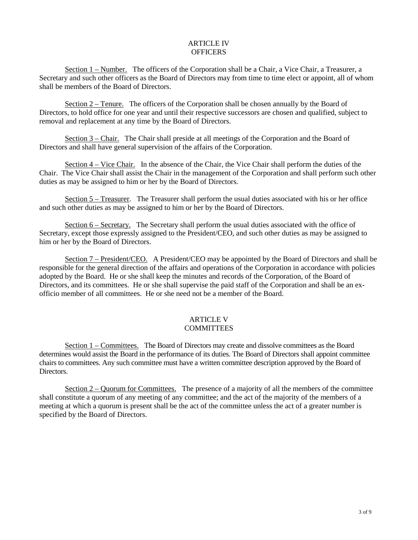## ARTICLE IV **OFFICERS**

Section 1 – Number. The officers of the Corporation shall be a Chair, a Vice Chair, a Treasurer, a Secretary and such other officers as the Board of Directors may from time to time elect or appoint, all of whom shall be members of the Board of Directors.

Section 2 – Tenure. The officers of the Corporation shall be chosen annually by the Board of Directors, to hold office for one year and until their respective successors are chosen and qualified, subject to removal and replacement at any time by the Board of Directors.

Section 3 – Chair. The Chair shall preside at all meetings of the Corporation and the Board of Directors and shall have general supervision of the affairs of the Corporation.

Section 4 – Vice Chair. In the absence of the Chair, the Vice Chair shall perform the duties of the Chair. The Vice Chair shall assist the Chair in the management of the Corporation and shall perform such other duties as may be assigned to him or her by the Board of Directors.

Section 5 – Treasurer. The Treasurer shall perform the usual duties associated with his or her office and such other duties as may be assigned to him or her by the Board of Directors.

Section 6 – Secretary. The Secretary shall perform the usual duties associated with the office of Secretary, except those expressly assigned to the President/CEO, and such other duties as may be assigned to him or her by the Board of Directors.

Section 7 – President/CEO. A President/CEO may be appointed by the Board of Directors and shall be responsible for the general direction of the affairs and operations of the Corporation in accordance with policies adopted by the Board. He or she shall keep the minutes and records of the Corporation, of the Board of Directors, and its committees. He or she shall supervise the paid staff of the Corporation and shall be an exofficio member of all committees. He or she need not be a member of the Board.

# ARTICLE V COMMITTEES

Section 1 – Committees. The Board of Directors may create and dissolve committees as the Board determines would assist the Board in the performance of its duties. The Board of Directors shall appoint committee chairs to committees. Any such committee must have a written committee description approved by the Board of Directors.

Section  $2 -$  Quorum for Committees. The presence of a majority of all the members of the committee shall constitute a quorum of any meeting of any committee; and the act of the majority of the members of a meeting at which a quorum is present shall be the act of the committee unless the act of a greater number is specified by the Board of Directors.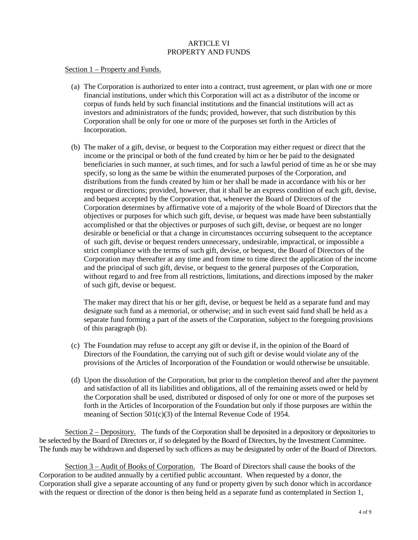# ARTICLE VI PROPERTY AND FUNDS

### Section 1 – Property and Funds.

- (a) The Corporation is authorized to enter into a contract, trust agreement, or plan with one or more financial institutions, under which this Corporation will act as a distributor of the income or corpus of funds held by such financial institutions and the financial institutions will act as investors and administrators of the funds; provided, however, that such distribution by this Corporation shall be only for one or more of the purposes set forth in the Articles of Incorporation.
- (b) The maker of a gift, devise, or bequest to the Corporation may either request or direct that the income or the principal or both of the fund created by him or her be paid to the designated beneficiaries in such manner, at such times, and for such a lawful period of time as he or she may specify, so long as the same be within the enumerated purposes of the Corporation, and distributions from the funds created by him or her shall be made in accordance with his or her request or directions; provided, however, that it shall be an express condition of each gift, devise, and bequest accepted by the Corporation that, whenever the Board of Directors of the Corporation determines by affirmative vote of a majority of the whole Board of Directors that the objectives or purposes for which such gift, devise, or bequest was made have been substantially accomplished or that the objectives or purposes of such gift, devise, or bequest are no longer desirable or beneficial or that a change in circumstances occurring subsequent to the acceptance of such gift, devise or bequest renders unnecessary, undesirable, impractical, or impossible a strict compliance with the terms of such gift, devise, or bequest, the Board of Directors of the Corporation may thereafter at any time and from time to time direct the application of the income and the principal of such gift, devise, or bequest to the general purposes of the Corporation, without regard to and free from all restrictions, limitations, and directions imposed by the maker of such gift, devise or bequest.

The maker may direct that his or her gift, devise, or bequest be held as a separate fund and may designate such fund as a memorial, or otherwise; and in such event said fund shall be held as a separate fund forming a part of the assets of the Corporation, subject to the foregoing provisions of this paragraph (b).

- (c) The Foundation may refuse to accept any gift or devise if, in the opinion of the Board of Directors of the Foundation, the carrying out of such gift or devise would violate any of the provisions of the Articles of Incorporation of the Foundation or would otherwise be unsuitable.
- (d) Upon the dissolution of the Corporation, but prior to the completion thereof and after the payment and satisfaction of all its liabilities and obligations, all of the remaining assets owed or held by the Corporation shall be used, distributed or disposed of only for one or more of the purposes set forth in the Articles of Incorporation of the Foundation but only if those purposes are within the meaning of Section 501(c)(3) of the Internal Revenue Code of 1954.

Section 2 – Depository. The funds of the Corporation shall be deposited in a depository or depositories to be selected by the Board of Directors or, if so delegated by the Board of Directors, by the Investment Committee. The funds may be withdrawn and dispersed by such officers as may be designated by order of the Board of Directors.

Section 3 – Audit of Books of Corporation. The Board of Directors shall cause the books of the Corporation to be audited annually by a certified public accountant. When requested by a donor, the Corporation shall give a separate accounting of any fund or property given by such donor which in accordance with the request or direction of the donor is then being held as a separate fund as contemplated in Section 1,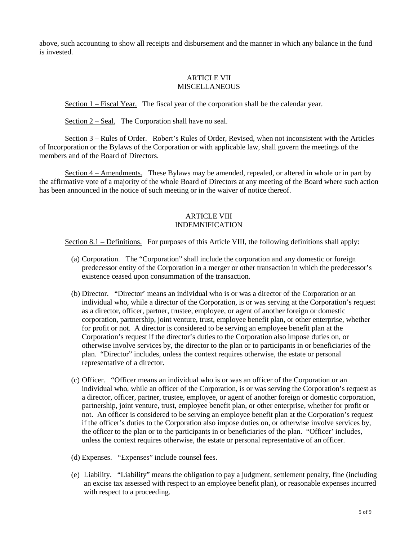above, such accounting to show all receipts and disbursement and the manner in which any balance in the fund is invested.

### ARTICLE VII **MISCELLANEOUS**

Section 1 – Fiscal Year. The fiscal year of the corporation shall be the calendar year.

Section 2 – Seal. The Corporation shall have no seal.

Section 3 – Rules of Order. Robert's Rules of Order, Revised, when not inconsistent with the Articles of Incorporation or the Bylaws of the Corporation or with applicable law, shall govern the meetings of the members and of the Board of Directors.

Section 4 – Amendments. These Bylaws may be amended, repealed, or altered in whole or in part by the affirmative vote of a majority of the whole Board of Directors at any meeting of the Board where such action has been announced in the notice of such meeting or in the waiver of notice thereof.

# ARTICLE VIII INDEMNIFICATION

Section 8.1 – Definitions. For purposes of this Article VIII, the following definitions shall apply:

- (a) Corporation. The "Corporation" shall include the corporation and any domestic or foreign predecessor entity of the Corporation in a merger or other transaction in which the predecessor's existence ceased upon consummation of the transaction.
- (b) Director. "Director' means an individual who is or was a director of the Corporation or an individual who, while a director of the Corporation, is or was serving at the Corporation's request as a director, officer, partner, trustee, employee, or agent of another foreign or domestic corporation, partnership, joint venture, trust, employee benefit plan, or other enterprise, whether for profit or not. A director is considered to be serving an employee benefit plan at the Corporation's request if the director's duties to the Corporation also impose duties on, or otherwise involve services by, the director to the plan or to participants in or beneficiaries of the plan. "Director" includes, unless the context requires otherwise, the estate or personal representative of a director.
- (c) Officer. "Officer means an individual who is or was an officer of the Corporation or an individual who, while an officer of the Corporation, is or was serving the Corporation's request as a director, officer, partner, trustee, employee, or agent of another foreign or domestic corporation, partnership, joint venture, trust, employee benefit plan, or other enterprise, whether for profit or not. An officer is considered to be serving an employee benefit plan at the Corporation's request if the officer's duties to the Corporation also impose duties on, or otherwise involve services by, the officer to the plan or to the participants in or beneficiaries of the plan. "Officer' includes, unless the context requires otherwise, the estate or personal representative of an officer.
- (d) Expenses. "Expenses" include counsel fees.
- (e) Liability. "Liability" means the obligation to pay a judgment, settlement penalty, fine (including an excise tax assessed with respect to an employee benefit plan), or reasonable expenses incurred with respect to a proceeding.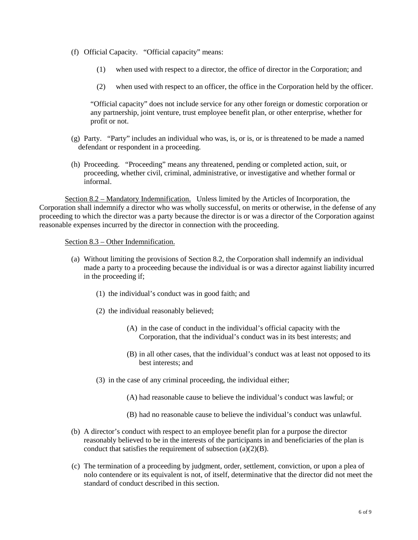- (f) Official Capacity. "Official capacity" means:
	- (1) when used with respect to a director, the office of director in the Corporation; and
	- (2) when used with respect to an officer, the office in the Corporation held by the officer.

"Official capacity" does not include service for any other foreign or domestic corporation or any partnership, joint venture, trust employee benefit plan, or other enterprise, whether for profit or not.

- (g) Party. "Party" includes an individual who was, is, or is, or is threatened to be made a named defendant or respondent in a proceeding.
- (h) Proceeding. "Proceeding" means any threatened, pending or completed action, suit, or proceeding, whether civil, criminal, administrative, or investigative and whether formal or informal.

Section 8.2 – Mandatory Indemnification. Unless limited by the Articles of Incorporation, the Corporation shall indemnify a director who was wholly successful, on merits or otherwise, in the defense of any proceeding to which the director was a party because the director is or was a director of the Corporation against reasonable expenses incurred by the director in connection with the proceeding.

#### Section 8.3 – Other Indemnification.

- (a) Without limiting the provisions of Section 8.2, the Corporation shall indemnify an individual made a party to a proceeding because the individual is or was a director against liability incurred in the proceeding if;
	- (1) the individual's conduct was in good faith; and
	- (2) the individual reasonably believed;
		- (A) in the case of conduct in the individual's official capacity with the Corporation, that the individual's conduct was in its best interests; and
		- (B) in all other cases, that the individual's conduct was at least not opposed to its best interests; and
	- (3) in the case of any criminal proceeding, the individual either;
		- (A) had reasonable cause to believe the individual's conduct was lawful; or
		- (B) had no reasonable cause to believe the individual's conduct was unlawful.
- (b) A director's conduct with respect to an employee benefit plan for a purpose the director reasonably believed to be in the interests of the participants in and beneficiaries of the plan is conduct that satisfies the requirement of subsection  $(a)(2)(B)$ .
- (c) The termination of a proceeding by judgment, order, settlement, conviction, or upon a plea of nolo contendere or its equivalent is not, of itself, determinative that the director did not meet the standard of conduct described in this section.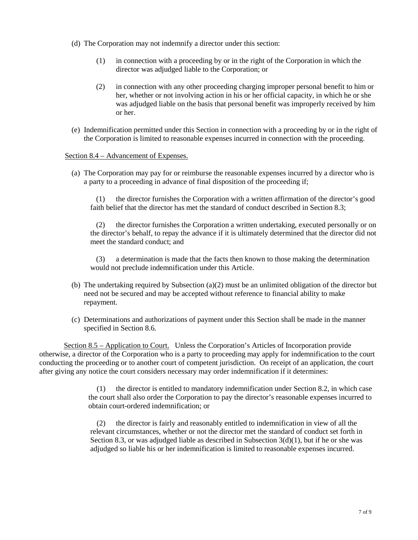- (d) The Corporation may not indemnify a director under this section:
	- (1) in connection with a proceeding by or in the right of the Corporation in which the director was adjudged liable to the Corporation; or
	- (2) in connection with any other proceeding charging improper personal benefit to him or her, whether or not involving action in his or her official capacity, in which he or she was adjudged liable on the basis that personal benefit was improperly received by him or her.
- (e) Indemnification permitted under this Section in connection with a proceeding by or in the right of the Corporation is limited to reasonable expenses incurred in connection with the proceeding.

### Section 8.4 – Advancement of Expenses.

(a) The Corporation may pay for or reimburse the reasonable expenses incurred by a director who is a party to a proceeding in advance of final disposition of the proceeding if;

(1) the director furnishes the Corporation with a written affirmation of the director's good faith belief that the director has met the standard of conduct described in Section 8.3;

(2) the director furnishes the Corporation a written undertaking, executed personally or on the director's behalf, to repay the advance if it is ultimately determined that the director did not meet the standard conduct; and

(3) a determination is made that the facts then known to those making the determination would not preclude indemnification under this Article.

- (b) The undertaking required by Subsection (a)(2) must be an unlimited obligation of the director but need not be secured and may be accepted without reference to financial ability to make repayment.
- (c) Determinations and authorizations of payment under this Section shall be made in the manner specified in Section 8.6.

Section 8.5 – Application to Court. Unless the Corporation's Articles of Incorporation provide otherwise, a director of the Corporation who is a party to proceeding may apply for indemnification to the court conducting the proceeding or to another court of competent jurisdiction. On receipt of an application, the court after giving any notice the court considers necessary may order indemnification if it determines:

> (1) the director is entitled to mandatory indemnification under Section 8.2, in which case the court shall also order the Corporation to pay the director's reasonable expenses incurred to obtain court-ordered indemnification; or

(2) the director is fairly and reasonably entitled to indemnification in view of all the relevant circumstances, whether or not the director met the standard of conduct set forth in Section 8.3, or was adjudged liable as described in Subsection  $3(d)(1)$ , but if he or she was adjudged so liable his or her indemnification is limited to reasonable expenses incurred.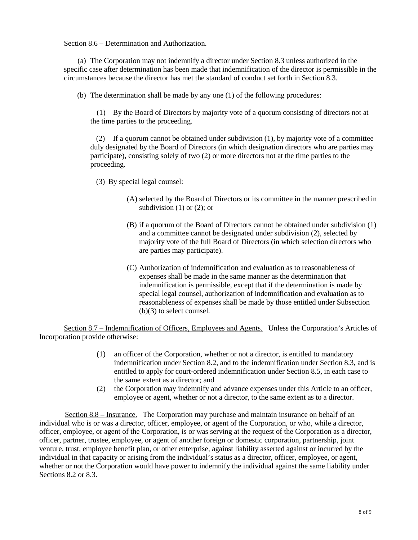### Section 8.6 – Determination and Authorization.

(a) The Corporation may not indemnify a director under Section 8.3 unless authorized in the specific case after determination has been made that indemnification of the director is permissible in the circumstances because the director has met the standard of conduct set forth in Section 8.3.

(b) The determination shall be made by any one (1) of the following procedures:

(1) By the Board of Directors by majority vote of a quorum consisting of directors not at the time parties to the proceeding.

(2) If a quorum cannot be obtained under subdivision (1), by majority vote of a committee duly designated by the Board of Directors (in which designation directors who are parties may participate), consisting solely of two (2) or more directors not at the time parties to the proceeding.

(3) By special legal counsel:

- (A) selected by the Board of Directors or its committee in the manner prescribed in subdivision  $(1)$  or  $(2)$ ; or
- (B) if a quorum of the Board of Directors cannot be obtained under subdivision (1) and a committee cannot be designated under subdivision (2), selected by majority vote of the full Board of Directors (in which selection directors who are parties may participate).
- (C) Authorization of indemnification and evaluation as to reasonableness of expenses shall be made in the same manner as the determination that indemnification is permissible, except that if the determination is made by special legal counsel, authorization of indemnification and evaluation as to reasonableness of expenses shall be made by those entitled under Subsection (b)(3) to select counsel.

Section 8.7 – Indemnification of Officers, Employees and Agents. Unless the Corporation's Articles of Incorporation provide otherwise:

- (1) an officer of the Corporation, whether or not a director, is entitled to mandatory indemnification under Section 8.2, and to the indemnification under Section 8.3, and is entitled to apply for court-ordered indemnification under Section 8.5, in each case to the same extent as a director; and
- (2) the Corporation may indemnify and advance expenses under this Article to an officer, employee or agent, whether or not a director, to the same extent as to a director.

Section 8.8 – Insurance. The Corporation may purchase and maintain insurance on behalf of an individual who is or was a director, officer, employee, or agent of the Corporation, or who, while a director, officer, employee, or agent of the Corporation, is or was serving at the request of the Corporation as a director, officer, partner, trustee, employee, or agent of another foreign or domestic corporation, partnership, joint venture, trust, employee benefit plan, or other enterprise, against liability asserted against or incurred by the individual in that capacity or arising from the individual's status as a director, officer, employee, or agent, whether or not the Corporation would have power to indemnify the individual against the same liability under Sections 8.2 or 8.3.